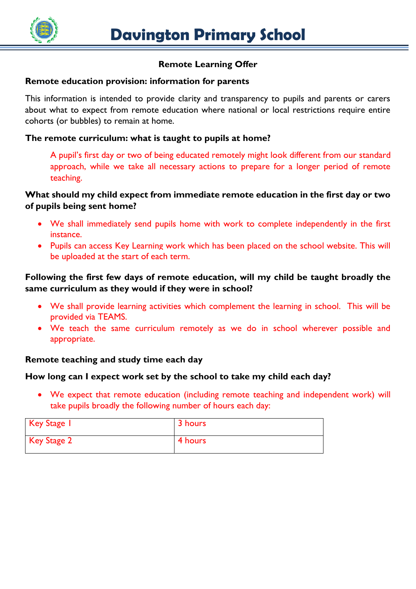

# **Remote Learning Offer**

#### **Remote education provision: information for parents**

This information is intended to provide clarity and transparency to pupils and parents or carers about what to expect from remote education where national or local restrictions require entire cohorts (or bubbles) to remain at home.

## **The remote curriculum: what is taught to pupils at home?**

A pupil's first day or two of being educated remotely might look different from our standard approach, while we take all necessary actions to prepare for a longer period of remote teaching.

## **What should my child expect from immediate remote education in the first day or two of pupils being sent home?**

- We shall immediately send pupils home with work to complete independently in the first instance.
- Pupils can access Key Learning work which has been placed on the school website. This will be uploaded at the start of each term.

## **Following the first few days of remote education, will my child be taught broadly the same curriculum as they would if they were in school?**

- We shall provide learning activities which complement the learning in school. This will be provided via TEAMS.
- We teach the same curriculum remotely as we do in school wherever possible and appropriate.

# **Remote teaching and study time each day**

#### **How long can I expect work set by the school to take my child each day?**

 We expect that remote education (including remote teaching and independent work) will take pupils broadly the following number of hours each day:

| Key Stage 1 | 3 hours |
|-------------|---------|
| Key Stage 2 | 4 hours |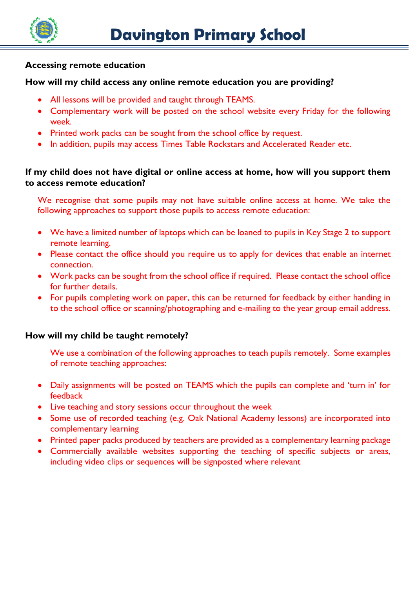

#### **Accessing remote education**

#### **How will my child access any online remote education you are providing?**

- All lessons will be provided and taught through TEAMS.
- Complementary work will be posted on the school website every Friday for the following week.
- Printed work packs can be sought from the school office by request.
- In addition, pupils may access Times Table Rockstars and Accelerated Reader etc.

# **If my child does not have digital or online access at home, how will you support them to access remote education?**

We recognise that some pupils may not have suitable online access at home. We take the following approaches to support those pupils to access remote education:

- We have a limited number of laptops which can be loaned to pupils in Key Stage 2 to support remote learning.
- Please contact the office should you require us to apply for devices that enable an internet connection.
- Work packs can be sought from the school office if required. Please contact the school office for further details.
- For pupils completing work on paper, this can be returned for feedback by either handing in to the school office or scanning/photographing and e-mailing to the year group email address.

# **How will my child be taught remotely?**

We use a combination of the following approaches to teach pupils remotely. Some examples of remote teaching approaches:

- Daily assignments will be posted on TEAMS which the pupils can complete and 'turn in' for feedback
- Live teaching and story sessions occur throughout the week
- Some use of recorded teaching (e.g. Oak National Academy lessons) are incorporated into complementary learning
- Printed paper packs produced by teachers are provided as a complementary learning package
- Commercially available websites supporting the teaching of specific subjects or areas, including video clips or sequences will be signposted where relevant